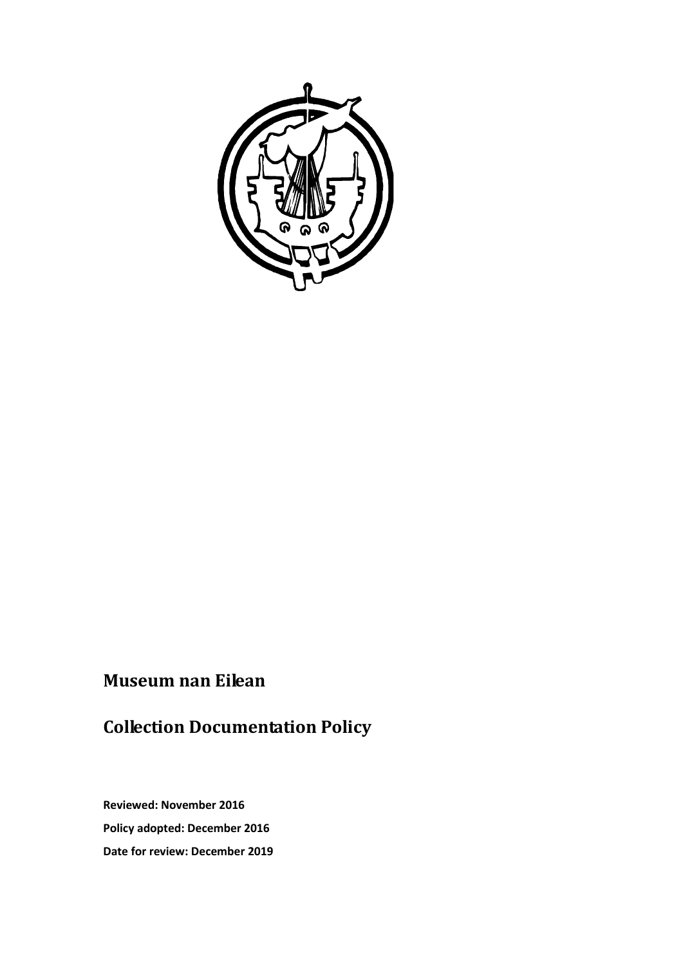

# **Museum nan Eilean**

# **Collection Documentation Policy**

**Reviewed: November 2016 Policy adopted: December 2016 Date for review: December 2019**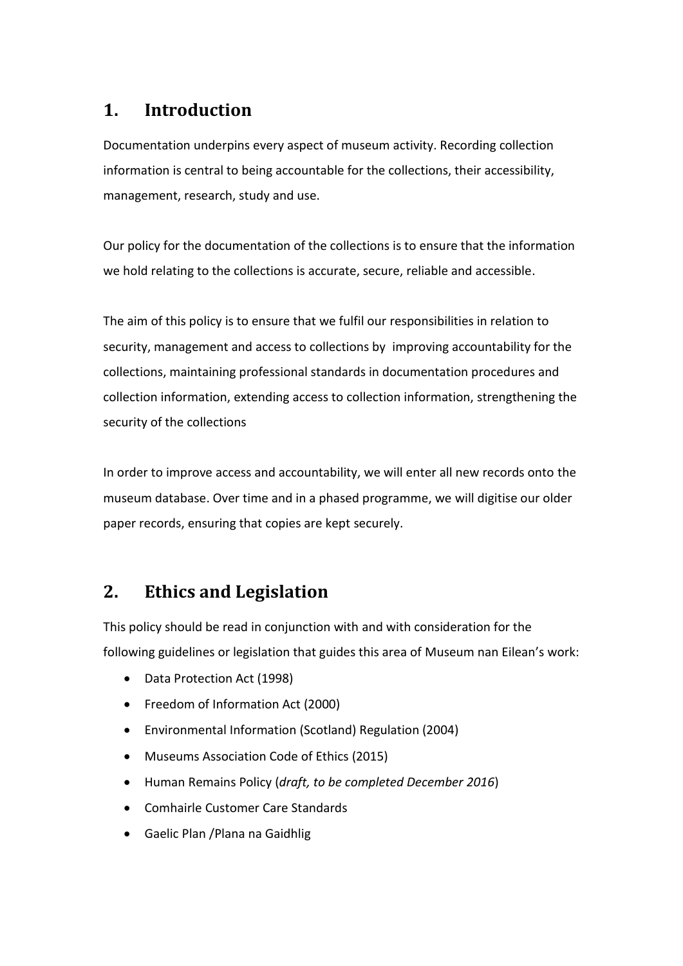## **1. Introduction**

Documentation underpins every aspect of museum activity. Recording collection information is central to being accountable for the collections, their accessibility, management, research, study and use.

Our policy for the documentation of the collections is to ensure that the information we hold relating to the collections is accurate, secure, reliable and accessible.

The aim of this policy is to ensure that we fulfil our responsibilities in relation to security, management and access to collections by improving accountability for the collections, maintaining professional standards in documentation procedures and collection information, extending access to collection information, strengthening the security of the collections

In order to improve access and accountability, we will enter all new records onto the museum database. Over time and in a phased programme, we will digitise our older paper records, ensuring that copies are kept securely.

### **2. Ethics and Legislation**

This policy should be read in conjunction with and with consideration for the following guidelines or legislation that guides this area of Museum nan Eilean's work:

- Data Protection Act (1998)
- Freedom of Information Act (2000)
- Environmental Information (Scotland) Regulation (2004)
- Museums Association Code of Ethics (2015)
- Human Remains Policy (*draft, to be completed December 2016*)
- Comhairle Customer Care Standards
- Gaelic Plan /Plana na Gaidhlig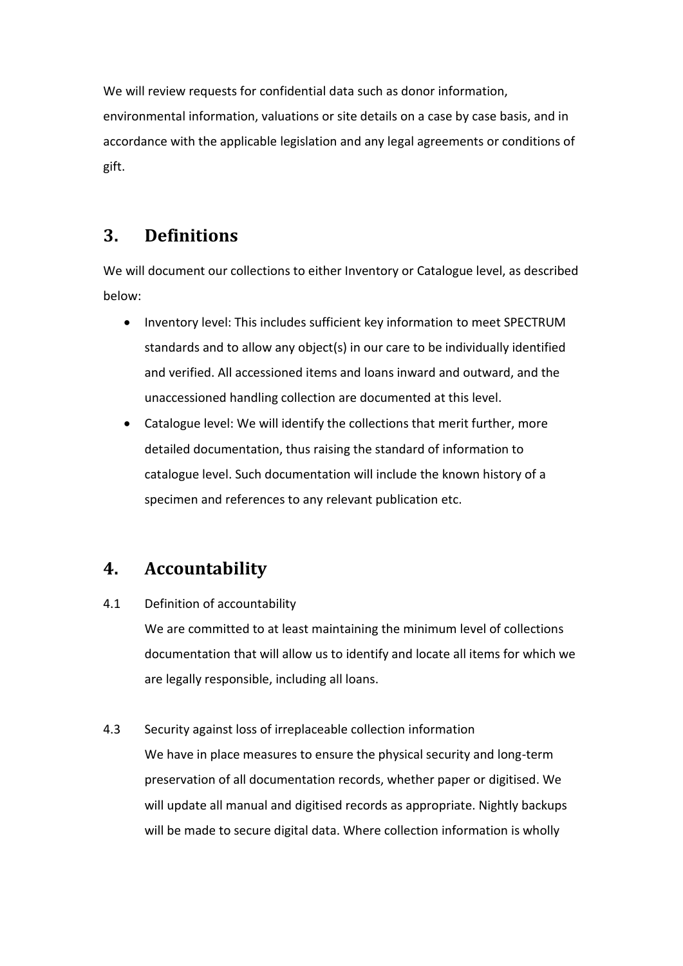We will review requests for confidential data such as donor information, environmental information, valuations or site details on a case by case basis, and in accordance with the applicable legislation and any legal agreements or conditions of gift.

#### **3. Definitions**

We will document our collections to either Inventory or Catalogue level, as described below:

- Inventory level: This includes sufficient key information to meet SPECTRUM standards and to allow any object(s) in our care to be individually identified and verified. All accessioned items and loans inward and outward, and the unaccessioned handling collection are documented at this level.
- Catalogue level: We will identify the collections that merit further, more detailed documentation, thus raising the standard of information to catalogue level. Such documentation will include the known history of a specimen and references to any relevant publication etc.

### **4. Accountability**

4.1 Definition of accountability

We are committed to at least maintaining the minimum level of collections documentation that will allow us to identify and locate all items for which we are legally responsible, including all loans.

#### 4.3 Security against loss of irreplaceable collection information

We have in place measures to ensure the physical security and long-term preservation of all documentation records, whether paper or digitised. We will update all manual and digitised records as appropriate. Nightly backups will be made to secure digital data. Where collection information is wholly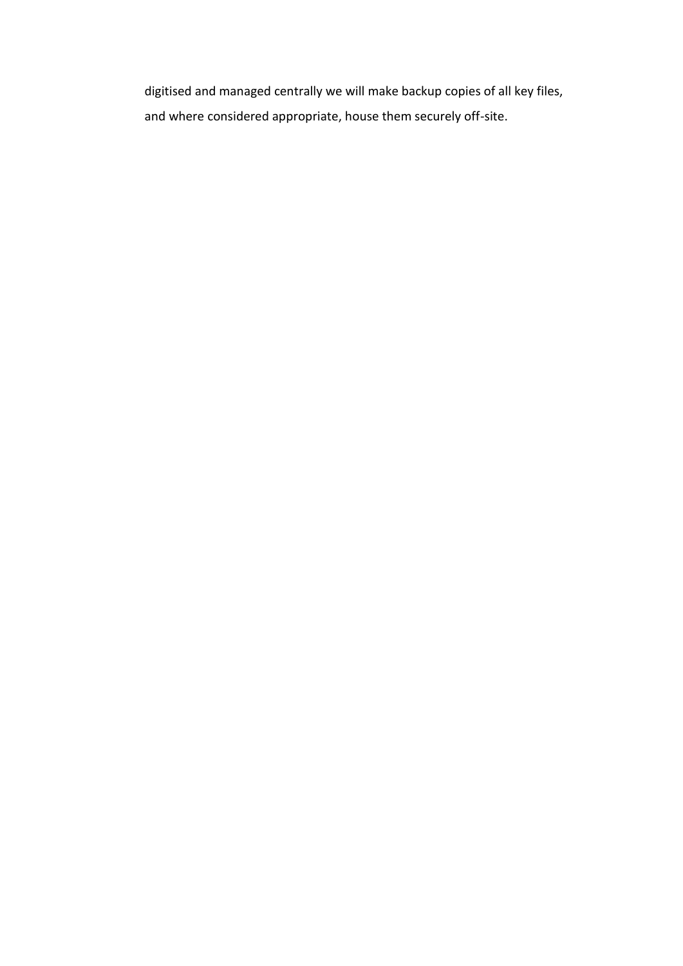digitised and managed centrally we will make backup copies of all key files, and where considered appropriate, house them securely off-site.